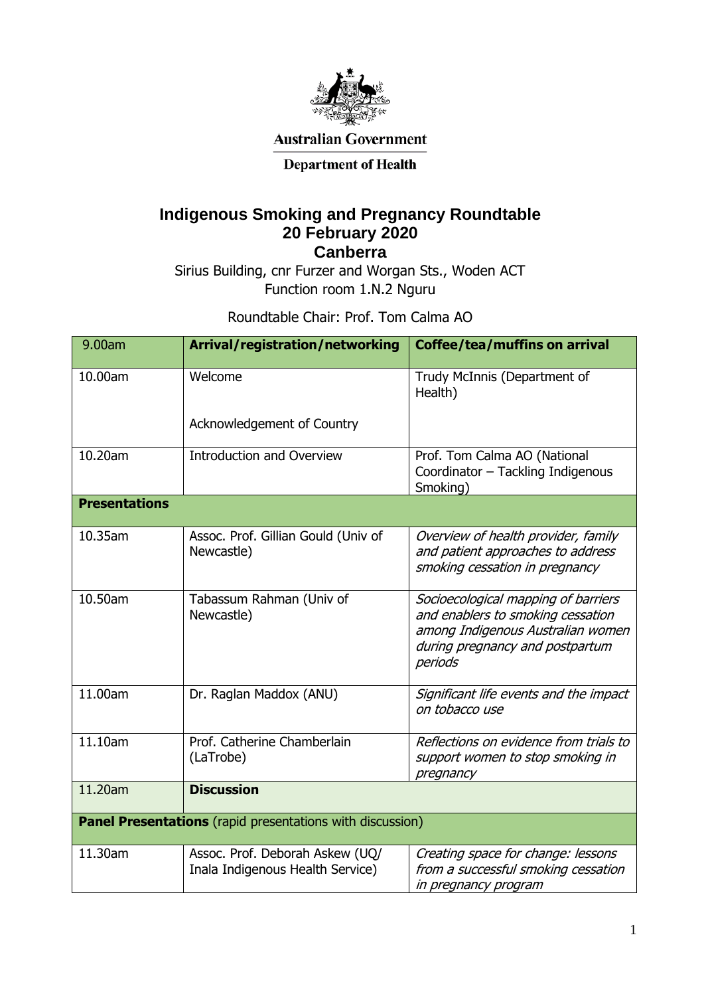

**Australian Government** 

## **Department of Health**

## **Indigenous Smoking and Pregnancy Roundtable 20 February 2020**

**Canberra**

Sirius Building, cnr Furzer and Worgan Sts., Woden ACT Function room 1.N.2 Nguru

Roundtable Chair: Prof. Tom Calma AO

| 9.00am                                                    | Arrival/registration/networking                                     | <b>Coffee/tea/muffins on arrival</b>                                                                                                                        |  |
|-----------------------------------------------------------|---------------------------------------------------------------------|-------------------------------------------------------------------------------------------------------------------------------------------------------------|--|
| 10.00am                                                   | Welcome                                                             | Trudy McInnis (Department of<br>Health)                                                                                                                     |  |
|                                                           | Acknowledgement of Country                                          |                                                                                                                                                             |  |
| 10.20am                                                   | <b>Introduction and Overview</b>                                    | Prof. Tom Calma AO (National<br>Coordinator - Tackling Indigenous<br>Smoking)                                                                               |  |
| <b>Presentations</b>                                      |                                                                     |                                                                                                                                                             |  |
| 10.35am                                                   | Assoc. Prof. Gillian Gould (Univ of<br>Newcastle)                   | Overview of health provider, family<br>and patient approaches to address<br>smoking cessation in pregnancy                                                  |  |
| 10.50am                                                   | Tabassum Rahman (Univ of<br>Newcastle)                              | Socioecological mapping of barriers<br>and enablers to smoking cessation<br>among Indigenous Australian women<br>during pregnancy and postpartum<br>periods |  |
| 11.00am                                                   | Dr. Raglan Maddox (ANU)                                             | Significant life events and the impact<br>on tobacco use                                                                                                    |  |
| 11.10am                                                   | Prof. Catherine Chamberlain<br>(LaTrobe)                            | Reflections on evidence from trials to<br>support women to stop smoking in<br>pregnancy                                                                     |  |
| 11.20am                                                   | <b>Discussion</b>                                                   |                                                                                                                                                             |  |
| Panel Presentations (rapid presentations with discussion) |                                                                     |                                                                                                                                                             |  |
| 11.30am                                                   | Assoc. Prof. Deborah Askew (UQ/<br>Inala Indigenous Health Service) | Creating space for change: lessons<br>from a successful smoking cessation<br>in pregnancy program                                                           |  |